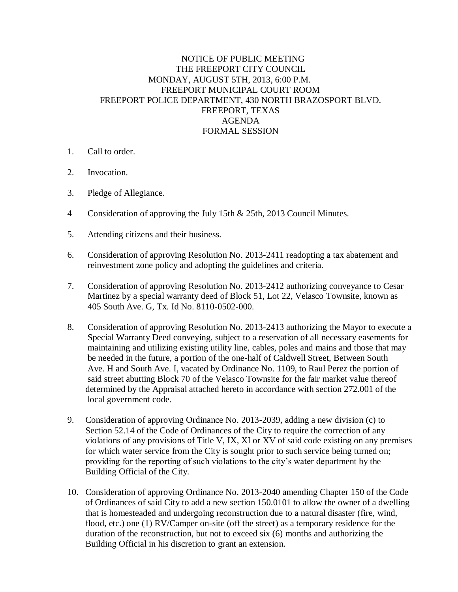## NOTICE OF PUBLIC MEETING THE FREEPORT CITY COUNCIL MONDAY, AUGUST 5TH, 2013, 6:00 P.M. FREEPORT MUNICIPAL COURT ROOM FREEPORT POLICE DEPARTMENT, 430 NORTH BRAZOSPORT BLVD. FREEPORT, TEXAS AGENDA FORMAL SESSION

- 1. Call to order.
- 2. Invocation.
- 3. Pledge of Allegiance.
- 4 Consideration of approving the July 15th & 25th, 2013 Council Minutes.
- 5. Attending citizens and their business.
- 6. Consideration of approving Resolution No. 2013-2411 readopting a tax abatement and reinvestment zone policy and adopting the guidelines and criteria.
- 7. Consideration of approving Resolution No. 2013-2412 authorizing conveyance to Cesar Martinez by a special warranty deed of Block 51, Lot 22, Velasco Townsite, known as 405 South Ave. G, Tx. Id No. 8110-0502-000.
- 8. Consideration of approving Resolution No. 2013-2413 authorizing the Mayor to execute a Special Warranty Deed conveying, subject to a reservation of all necessary easements for maintaining and utilizing existing utility line, cables, poles and mains and those that may be needed in the future, a portion of the one-half of Caldwell Street, Between South Ave. H and South Ave. I, vacated by Ordinance No. 1109, to Raul Perez the portion of said street abutting Block 70 of the Velasco Townsite for the fair market value thereof determined by the Appraisal attached hereto in accordance with section 272.001 of the local government code.
- 9. Consideration of approving Ordinance No. 2013-2039, adding a new division (c) to Section 52.14 of the Code of Ordinances of the City to require the correction of any violations of any provisions of Title V, IX, XI or XV of said code existing on any premises for which water service from the City is sought prior to such service being turned on; providing for the reporting of such violations to the city's water department by the Building Official of the City.
- 10. Consideration of approving Ordinance No. 2013-2040 amending Chapter 150 of the Code of Ordinances of said City to add a new section 150.0101 to allow the owner of a dwelling that is homesteaded and undergoing reconstruction due to a natural disaster (fire, wind, flood, etc.) one (1) RV/Camper on-site (off the street) as a temporary residence for the duration of the reconstruction, but not to exceed six (6) months and authorizing the Building Official in his discretion to grant an extension.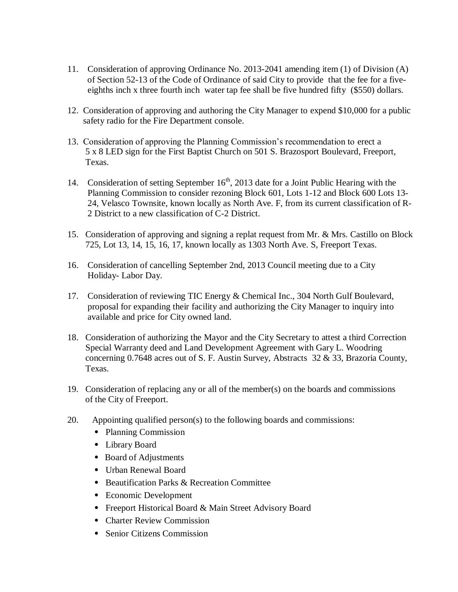- 11. Consideration of approving Ordinance No. 2013-2041 amending item (1) of Division (A) of Section 52-13 of the Code of Ordinance of said City to provide that the fee for a five eighths inch x three fourth inch water tap fee shall be five hundred fifty (\$550) dollars.
- 12. Consideration of approving and authoring the City Manager to expend \$10,000 for a public safety radio for the Fire Department console.
- 13. Consideration of approving the Planning Commission's recommendation to erect a 5 x 8 LED sign for the First Baptist Church on 501 S. Brazosport Boulevard, Freeport, Texas.
- 14. Consideration of setting September  $16<sup>th</sup>$ , 2013 date for a Joint Public Hearing with the Planning Commission to consider rezoning Block 601, Lots 1-12 and Block 600 Lots 13- 24, Velasco Townsite, known locally as North Ave. F, from its current classification of R- 2 District to a new classification of C-2 District.
- 15. Consideration of approving and signing a replat request from Mr. & Mrs. Castillo on Block 725, Lot 13, 14, 15, 16, 17, known locally as 1303 North Ave. S, Freeport Texas.
- 16. Consideration of cancelling September 2nd, 2013 Council meeting due to a City Holiday- Labor Day.
- 17. Consideration of reviewing TIC Energy & Chemical Inc., 304 North Gulf Boulevard, proposal for expanding their facility and authorizing the City Manager to inquiry into available and price for City owned land.
- 18. Consideration of authorizing the Mayor and the City Secretary to attest a third Correction Special Warranty deed and Land Development Agreement with Gary L. Woodring concerning 0.7648 acres out of S. F. Austin Survey, Abstracts 32 & 33, Brazoria County, Texas.
- 19. Consideration of replacing any or all of the member(s) on the boards and commissions of the City of Freeport.
- 20. Appointing qualified person(s) to the following boards and commissions:
	- Planning Commission
	- Library Board
	- Board of Adjustments
	- Urban Renewal Board
	- Beautification Parks & Recreation Committee
	- Economic Development
	- Freeport Historical Board & Main Street Advisory Board
	- Charter Review Commission
	- Senior Citizens Commission